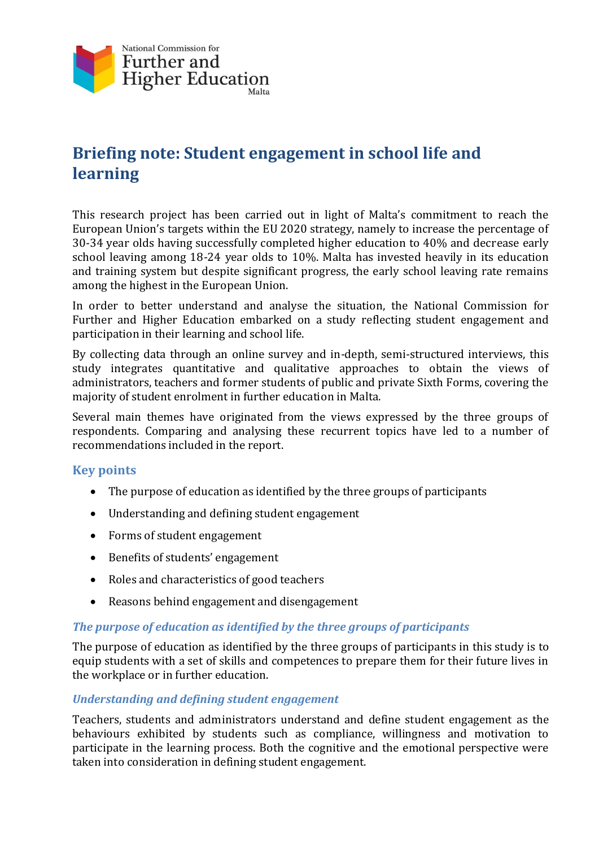

# **Briefing note: Student engagement in school life and learning**

This research project has been carried out in light of Malta's commitment to reach the European Union's targets within the EU 2020 strategy, namely to increase the percentage of 30-34 year olds having successfully completed higher education to 40% and decrease early school leaving among 18-24 year olds to 10%. Malta has invested heavily in its education and training system but despite significant progress, the early school leaving rate remains among the highest in the European Union.

In order to better understand and analyse the situation, the National Commission for Further and Higher Education embarked on a study reflecting student engagement and participation in their learning and school life.

By collecting data through an online survey and in-depth, semi-structured interviews, this study integrates quantitative and qualitative approaches to obtain the views of administrators, teachers and former students of public and private Sixth Forms, covering the majority of student enrolment in further education in Malta.

Several main themes have originated from the views expressed by the three groups of respondents. Comparing and analysing these recurrent topics have led to a number of recommendations included in the report.

## **Key points**

- The purpose of education as identified by the three groups of participants
- Understanding and defining student engagement
- Forms of student engagement
- Benefits of students' engagement
- Roles and characteristics of good teachers
- Reasons behind engagement and disengagement

## *The purpose of education as identified by the three groups of participants*

The purpose of education as identified by the three groups of participants in this study is to equip students with a set of skills and competences to prepare them for their future lives in the workplace or in further education.

## *Understanding and defining student engagement*

Teachers, students and administrators understand and define student engagement as the behaviours exhibited by students such as compliance, willingness and motivation to participate in the learning process. Both the cognitive and the emotional perspective were taken into consideration in defining student engagement.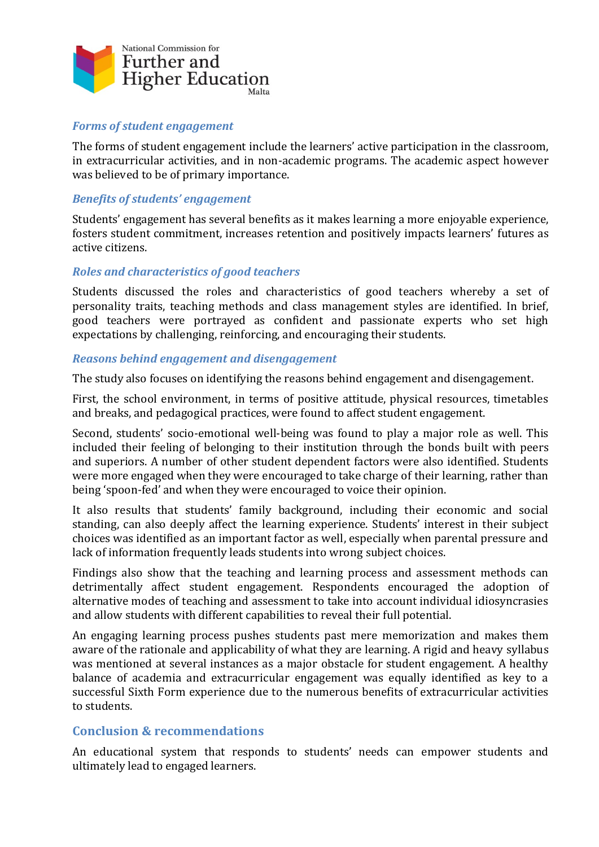

### *Forms of student engagement*

The forms of student engagement include the learners' active participation in the classroom, in extracurricular activities, and in non-academic programs. The academic aspect however was believed to be of primary importance.

#### *Benefits of students' engagement*

Students' engagement has several benefits as it makes learning a more enjoyable experience, fosters student commitment, increases retention and positively impacts learners' futures as active citizens.

#### *Roles and characteristics of good teachers*

Students discussed the roles and characteristics of good teachers whereby a set of personality traits, teaching methods and class management styles are identified. In brief, good teachers were portrayed as confident and passionate experts who set high expectations by challenging, reinforcing, and encouraging their students.

#### *Reasons behind engagement and disengagement*

The study also focuses on identifying the reasons behind engagement and disengagement.

First, the school environment, in terms of positive attitude, physical resources, timetables and breaks, and pedagogical practices, were found to affect student engagement.

Second, students' socio-emotional well-being was found to play a major role as well. This included their feeling of belonging to their institution through the bonds built with peers and superiors. A number of other student dependent factors were also identified. Students were more engaged when they were encouraged to take charge of their learning, rather than being 'spoon-fed' and when they were encouraged to voice their opinion.

It also results that students' family background, including their economic and social standing, can also deeply affect the learning experience. Students' interest in their subject choices was identified as an important factor as well, especially when parental pressure and lack of information frequently leads students into wrong subject choices.

Findings also show that the teaching and learning process and assessment methods can detrimentally affect student engagement. Respondents encouraged the adoption of alternative modes of teaching and assessment to take into account individual idiosyncrasies and allow students with different capabilities to reveal their full potential.

An engaging learning process pushes students past mere memorization and makes them aware of the rationale and applicability of what they are learning. A rigid and heavy syllabus was mentioned at several instances as a major obstacle for student engagement. A healthy balance of academia and extracurricular engagement was equally identified as key to a successful Sixth Form experience due to the numerous benefits of extracurricular activities to students.

## **Conclusion & recommendations**

An educational system that responds to students' needs can empower students and ultimately lead to engaged learners.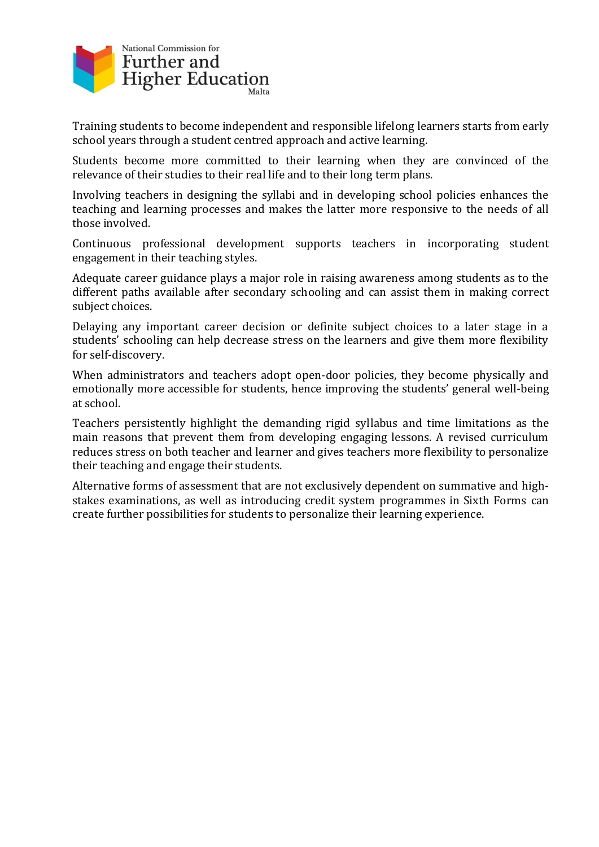

Training students to become independent and responsible lifelong learners starts from early school years through a student centred approach and active learning.

Students become more committed to their learning when they are convinced of the relevance of their studies to their real life and to their long term plans.

Involving teachers in designing the syllabi and in developing school policies enhances the teaching and learning processes and makes the latter more responsive to the needs of all those involved.

Continuous professional development supports teachers in incorporating student engagement in their teaching styles.

Adequate career guidance plays a major role in raising awareness among students as to the different paths available after secondary schooling and can assist them in making correct subject choices.

Delaying any important career decision or definite subject choices to a later stage in a students' schooling can help decrease stress on the learners and give them more flexibility for self-discovery.

When administrators and teachers adopt open-door policies, they become physically and emotionally more accessible for students, hence improving the students' general well-being at school.

Teachers persistently highlight the demanding rigid syllabus and time limitations as the main reasons that prevent them from developing engaging lessons. A revised curriculum reduces stress on both teacher and learner and gives teachers more flexibility to personalize their teaching and engage their students.

Alternative forms of assessment that are not exclusively dependent on summative and highstakes examinations, as well as introducing credit system programmes in Sixth Forms can create further possibilities for students to personalize their learning experience.